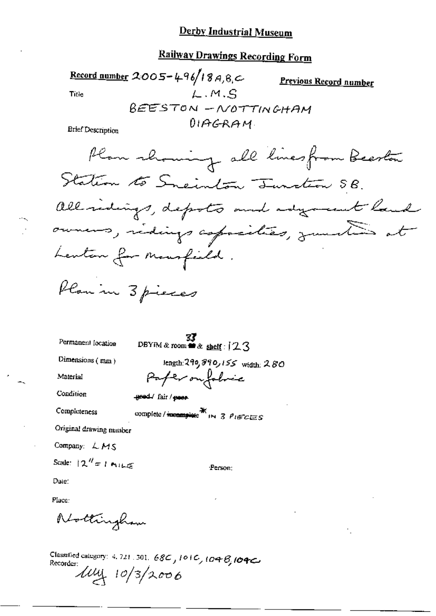### Derby Industrial Museum

## **Railway Drawings Recording Form**

Record number 2005-496/18A, 8, C Previous Record number  $L.M.S$ Title REESTON - NOTTINGHAM  $0.19G$ RAM **Brief Description** Plan showing all linesfrom Beeston Station to Sneinton Tunction SB.

Permanent location

 $\frac{37}{23}$ <br>DBYM & reom  $\bullet$  & shelf:  $123$ 

Dimensions (mm)

Material

Condition

Completeness

length:  $290,890,155$  width:  $280$ Paper on folice

geed./ fair / peer

complete /  $\frac{1}{2}$   $\frac{1}{2}$   $\frac{1}{2}$   $\frac{1}{2}$   $\frac{1}{2}$   $\frac{1}{2}$   $\frac{1}{2}$   $\frac{1}{2}$   $\frac{1}{2}$   $\frac{1}{2}$   $\frac{1}{2}$   $\frac{1}{2}$   $\frac{1}{2}$   $\frac{1}{2}$   $\frac{1}{2}$   $\frac{1}{2}$   $\frac{1}{2}$   $\frac{1}{2}$   $\frac{1}{2}$   $\frac{1}{2}$   $\frac{1}{2}$ 

Original drawing number

Company:  $LMS$ 

$$
Scale: [2" = 1 \text{ m.} \text{cm}
$$

:Person:

Date:

Place:

Nottingham

Classified category: 4, 721, 301, 68C, 101C, 104B, 104C Recorder:  $\mu$  $\mu$  10/3/2006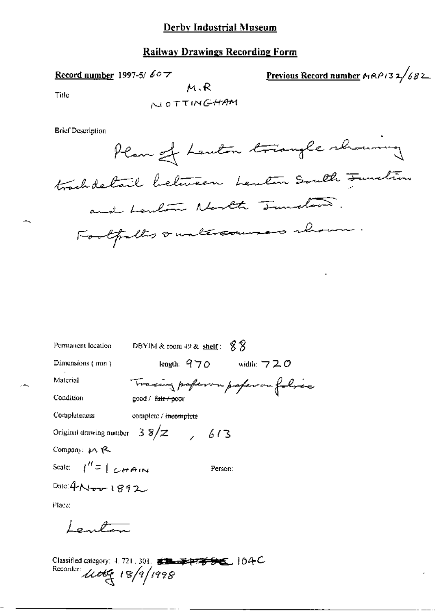#### Derby Industrial Museum

#### Railway Drawings Recording Form

Record number 1997-5/ $607$ 

Previous Record number  $AAB132/682$ 

Title

NOTTINGHAM

 $M, R$ 

**Brief Description** 

Plan of Lanton triangle showing trachdetail between Lenten South Juntin and herbour North Junction. Footpelts & unlercourses shown.

| Permanent location    | DBYIM & room 49 & $\frac{\text{shell}}{S}$ : $\frac{8}{3}$ |
|-----------------------|------------------------------------------------------------|
| Dimensions (mm)       | length: $970$ width: $720$                                 |
| Material              | Tracing poferou paperou folice                             |
| Condition             | good / fair+poor                                           |
| Completeness          | complete / incomplete                                      |
|                       | Original drawing number $38/z$ 613                         |
| Company: pA Y2        |                                                            |
| Scale: $1'' = [CHam]$ | Person:                                                    |
| Date: 4 Nov 1892      |                                                            |
| Place:                |                                                            |
| $\sqrt{2}$            |                                                            |
|                       |                                                            |

Classified categor 老<del>把老子的</del>名,10件) Recorder utte 18/9/1998